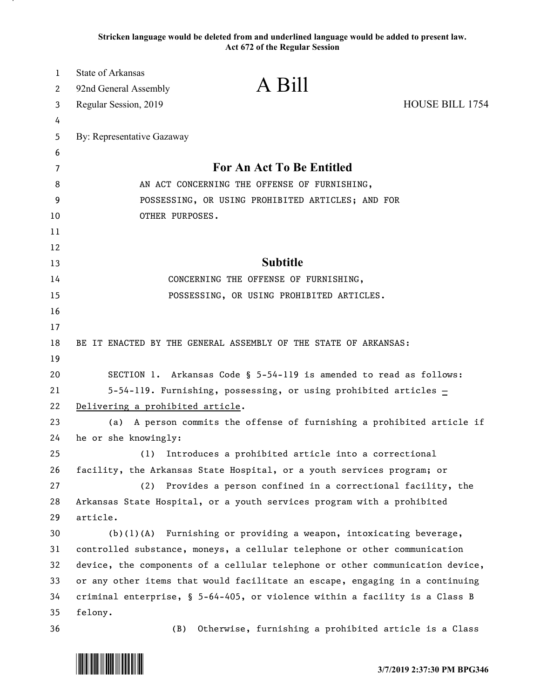**Stricken language would be deleted from and underlined language would be added to present law. Act 672 of the Regular Session**

| $\mathbf{1}$ | <b>State of Arkansas</b>                          | A Bill                                                                        |                 |  |  |  |  |  |  |  |
|--------------|---------------------------------------------------|-------------------------------------------------------------------------------|-----------------|--|--|--|--|--|--|--|
| 2            | 92nd General Assembly                             |                                                                               |                 |  |  |  |  |  |  |  |
| 3            | Regular Session, 2019                             |                                                                               | HOUSE BILL 1754 |  |  |  |  |  |  |  |
| 4            |                                                   |                                                                               |                 |  |  |  |  |  |  |  |
| 5            | By: Representative Gazaway                        |                                                                               |                 |  |  |  |  |  |  |  |
| 6            |                                                   |                                                                               |                 |  |  |  |  |  |  |  |
| 7            |                                                   | For An Act To Be Entitled                                                     |                 |  |  |  |  |  |  |  |
| 8            |                                                   | AN ACT CONCERNING THE OFFENSE OF FURNISHING,                                  |                 |  |  |  |  |  |  |  |
| 9            | POSSESSING, OR USING PROHIBITED ARTICLES; AND FOR |                                                                               |                 |  |  |  |  |  |  |  |
| 10           | OTHER PURPOSES.                                   |                                                                               |                 |  |  |  |  |  |  |  |
| 11           |                                                   |                                                                               |                 |  |  |  |  |  |  |  |
| 12<br>13     |                                                   | <b>Subtitle</b>                                                               |                 |  |  |  |  |  |  |  |
| 14           |                                                   | CONCERNING THE OFFENSE OF FURNISHING,                                         |                 |  |  |  |  |  |  |  |
| 15           |                                                   | POSSESSING, OR USING PROHIBITED ARTICLES.                                     |                 |  |  |  |  |  |  |  |
| 16           |                                                   |                                                                               |                 |  |  |  |  |  |  |  |
| 17           |                                                   |                                                                               |                 |  |  |  |  |  |  |  |
| 18           |                                                   | BE IT ENACTED BY THE GENERAL ASSEMBLY OF THE STATE OF ARKANSAS:               |                 |  |  |  |  |  |  |  |
| 19           |                                                   |                                                                               |                 |  |  |  |  |  |  |  |
| 20           |                                                   | SECTION 1. Arkansas Code § 5-54-119 is amended to read as follows:            |                 |  |  |  |  |  |  |  |
| 21           |                                                   | 5-54-119. Furnishing, possessing, or using prohibited articles $\pm$          |                 |  |  |  |  |  |  |  |
| 22           | Delivering a prohibited article.                  |                                                                               |                 |  |  |  |  |  |  |  |
| 23           | (a)                                               | A person commits the offense of furnishing a prohibited article if            |                 |  |  |  |  |  |  |  |
| 24           | he or she knowingly:                              |                                                                               |                 |  |  |  |  |  |  |  |
| 25           | (1)                                               | Introduces a prohibited article into a correctional                           |                 |  |  |  |  |  |  |  |
| 26           |                                                   | facility, the Arkansas State Hospital, or a youth services program; or        |                 |  |  |  |  |  |  |  |
| 27           | (2)                                               | Provides a person confined in a correctional facility, the                    |                 |  |  |  |  |  |  |  |
| 28           |                                                   | Arkansas State Hospital, or a youth services program with a prohibited        |                 |  |  |  |  |  |  |  |
| 29           | article.                                          |                                                                               |                 |  |  |  |  |  |  |  |
| 30           | (b) (1) (A)                                       | Furnishing or providing a weapon, intoxicating beverage,                      |                 |  |  |  |  |  |  |  |
| 31           |                                                   | controlled substance, moneys, a cellular telephone or other communication     |                 |  |  |  |  |  |  |  |
| 32           |                                                   | device, the components of a cellular telephone or other communication device, |                 |  |  |  |  |  |  |  |
| 33           |                                                   | or any other items that would facilitate an escape, engaging in a continuing  |                 |  |  |  |  |  |  |  |
| 34           |                                                   | criminal enterprise, § 5-64-405, or violence within a facility is a Class B   |                 |  |  |  |  |  |  |  |
| 35           | felony.                                           |                                                                               |                 |  |  |  |  |  |  |  |
| 36           | (B)                                               | Otherwise, furnishing a prohibited article is a Class                         |                 |  |  |  |  |  |  |  |

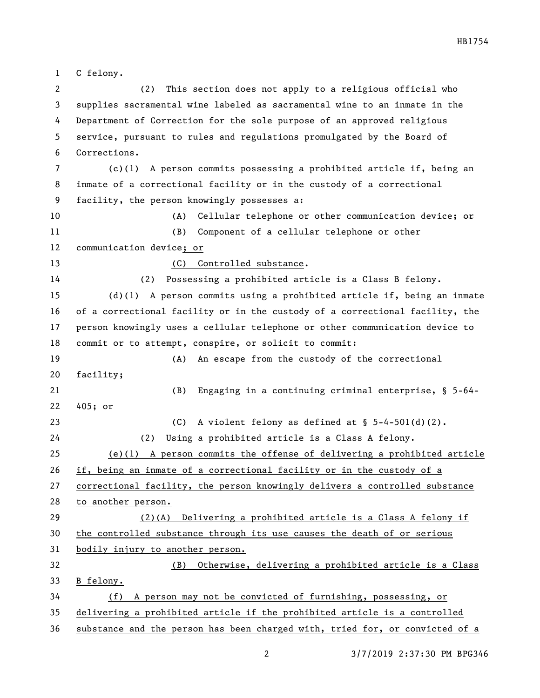HB1754

 C felony. (2) This section does not apply to a religious official who supplies sacramental wine labeled as sacramental wine to an inmate in the Department of Correction for the sole purpose of an approved religious service, pursuant to rules and regulations promulgated by the Board of Corrections. (c)(1) A person commits possessing a prohibited article if, being an inmate of a correctional facility or in the custody of a correctional facility, the person knowingly possesses a: 10 (A) Cellular telephone or other communication device;  $\Theta$ f (B) Component of a cellular telephone or other communication device; or 13 (C) Controlled substance. (2) Possessing a prohibited article is a Class B felony. (d)(1) A person commits using a prohibited article if, being an inmate of a correctional facility or in the custody of a correctional facility, the person knowingly uses a cellular telephone or other communication device to commit or to attempt, conspire, or solicit to commit: (A) An escape from the custody of the correctional facility; (B) Engaging in a continuing criminal enterprise, § 5-64- 405; or (C) A violent felony as defined at § 5-4-501(d)(2). (2) Using a prohibited article is a Class A felony. (e)(1) A person commits the offense of delivering a prohibited article if, being an inmate of a correctional facility or in the custody of a correctional facility, the person knowingly delivers a controlled substance to another person. (2)(A) Delivering a prohibited article is a Class A felony if the controlled substance through its use causes the death of or serious bodily injury to another person. (B) Otherwise, delivering a prohibited article is a Class B felony. (f) A person may not be convicted of furnishing, possessing, or delivering a prohibited article if the prohibited article is a controlled

substance and the person has been charged with, tried for, or convicted of a

3/7/2019 2:37:30 PM BPG346